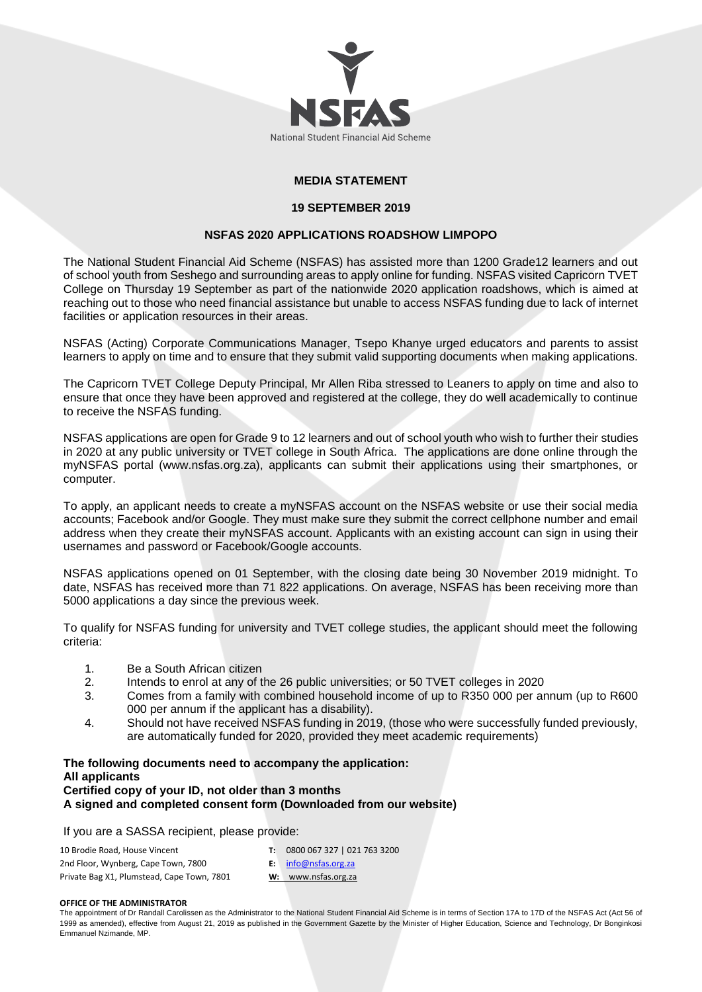

# **MEDIA STATEMENT**

### **19 SEPTEMBER 2019**

## **NSFAS 2020 APPLICATIONS ROADSHOW LIMPOPO**

The National Student Financial Aid Scheme (NSFAS) has assisted more than 1200 Grade12 learners and out of school youth from Seshego and surrounding areas to apply online for funding. NSFAS visited Capricorn TVET College on Thursday 19 September as part of the nationwide 2020 application roadshows, which is aimed at reaching out to those who need financial assistance but unable to access NSFAS funding due to lack of internet facilities or application resources in their areas.

NSFAS (Acting) Corporate Communications Manager, Tsepo Khanye urged educators and parents to assist learners to apply on time and to ensure that they submit valid supporting documents when making applications.

The Capricorn TVET College Deputy Principal, Mr Allen Riba stressed to Leaners to apply on time and also to ensure that once they have been approved and registered at the college, they do well academically to continue to receive the NSFAS funding.

NSFAS applications are open for Grade 9 to 12 learners and out of school youth who wish to further their studies in 2020 at any public university or TVET college in South Africa. The applications are done online through the myNSFAS portal (www.nsfas.org.za), applicants can submit their applications using their smartphones, or computer.

To apply, an applicant needs to create a myNSFAS account on the NSFAS website or use their social media accounts; Facebook and/or Google. They must make sure they submit the correct cellphone number and email address when they create their myNSFAS account. Applicants with an existing account can sign in using their usernames and password or Facebook/Google accounts.

NSFAS applications opened on 01 September, with the closing date being 30 November 2019 midnight. To date, NSFAS has received more than 71 822 applications. On average, NSFAS has been receiving more than 5000 applications a day since the previous week.

To qualify for NSFAS funding for university and TVET college studies, the applicant should meet the following criteria:

- 1. Be a South African citizen
- 2. Intends to enrol at any of the 26 public universities; or 50 TVET colleges in 2020
- 3. Comes from a family with combined household income of up to R350 000 per annum (up to R600 000 per annum if the applicant has a disability).
- 4. Should not have received NSFAS funding in 2019, (those who were successfully funded previously, are automatically funded for 2020, provided they meet academic requirements)

### **The following documents need to accompany the application: All applicants Certified copy of your ID, not older than 3 months A signed and completed consent form (Downloaded from our website)**

If you are a SASSA recipient, please provide:

| 10 Brodie Road, House Vincent              | 0800 067 327   021 763 3200 |
|--------------------------------------------|-----------------------------|
| 2nd Floor, Wynberg, Cape Town, 7800        | <b>E:</b> info@nsfas.org.za |
| Private Bag X1, Plumstead, Cape Town, 7801 | W: www.nsfas.org.za         |

#### **OFFICE OF THE ADMINISTRATOR**

The appointment of Dr Randall Carolissen as the Administrator to the National Student Financial Aid Scheme is in terms of Section 17A to 17D of the NSFAS Act (Act 56 of 1999 as amended), effective from August 21, 2019 as published in the Government Gazette by the Minister of Higher Education, Science and Technology, Dr Bonginkosi Emmanuel Nzimande, MP.